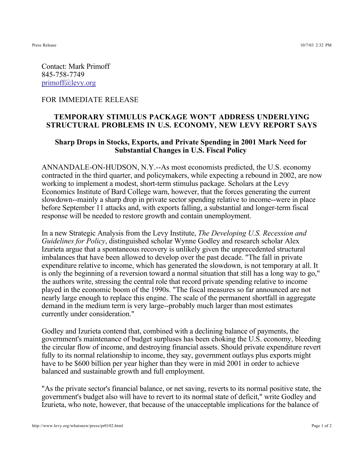Contact: Mark Primoff 845-758-7749 primoff@levy.org

## FOR IMMEDIATE RELEASE

## **TEMPORARY STIMULUS PACKAGE WON'T ADDRESS UNDERLYING STRUCTURAL PROBLEMS IN U.S. ECONOMY, NEW LEVY REPORT SAYS**

## **Sharp Drops in Stocks, Exports, and Private Spending in 2001 Mark Need for Substantial Changes in U.S. Fiscal Policy**

ANNANDALE-ON-HUDSON, N.Y.--As most economists predicted, the U.S. economy contracted in the third quarter, and policymakers, while expecting a rebound in 2002, are now working to implement a modest, short-term stimulus package. Scholars at the Levy Economics Institute of Bard College warn, however, that the forces generating the current slowdown--mainly a sharp drop in private sector spending relative to income--were in place before September 11 attacks and, with exports falling, a substantial and longer-term fiscal response will be needed to restore growth and contain unemployment.

In a new Strategic Analysis from the Levy Institute, *The Developing U.S. Recession and* Guidelines for Policy, distinguished scholar Wynne Godley and research scholar Alex Izurieta argue that a spontaneous recovery is unlikely given the unprecedented structural imbalances that have been allowed to develop over the past decade. "The fall in private expenditure relative to income, which has generated the slowdown, is not temporary at all. It is only the beginning of a reversion toward a normal situation that still has a long way to go," the authors write, stressing the central role that record private spending relative to income played in the economic boom of the 1990s. "The fiscal measures so far announced are not nearly large enough to replace this engine. The scale of the permanent shortfall in aggregate demand in the medium term is very large--probably much larger than most estimates currently under consideration."

Godley and Izurieta contend that, combined with a declining balance of payments, the government's maintenance of budget surpluses has been choking the U.S. economy, bleeding the circular flow of income, and destroying financial assets. Should private expenditure revert fully to its normal relationship to income, they say, government outlays plus exports might have to be \$600 billion per year higher than they were in mid 2001 in order to achieve balanced and sustainable growth and full employment.

"As the private sector's financial balance, or net saving, reverts to its normal positive state, the government's budget also will have to revert to its normal state of deficit," write Godley and Izurieta, who note, however, that because of the unacceptable implications for the balance of